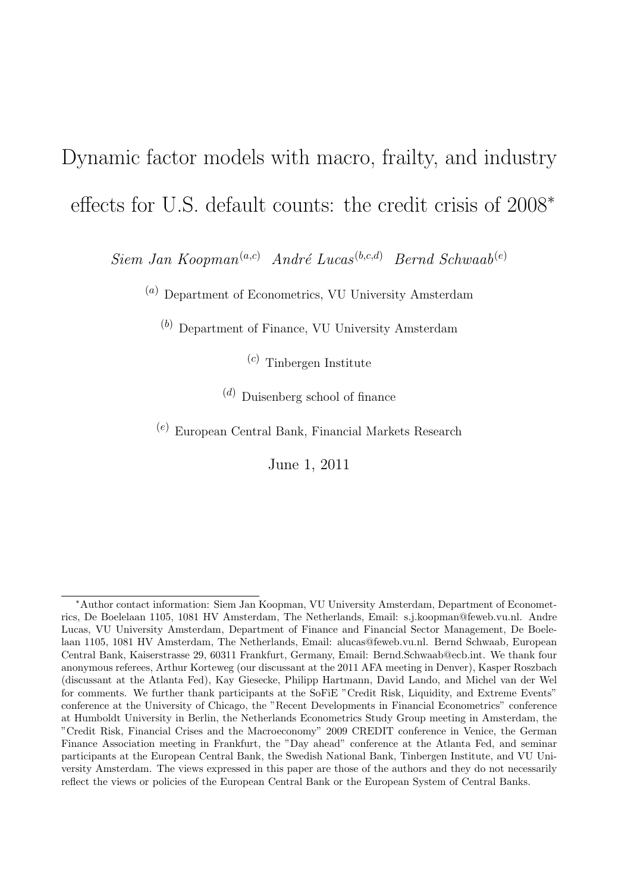## Dynamic factor models with macro, frailty, and industry effects for U.S. default counts: the credit crisis of 2008*<sup>∗</sup>*

*Siem Jan Koopman*<sup>(*a,c*)</sup> *André Lucas*<sup>(*b,c,d*) *Bernd Schwaab*<sup>(*e*)</sup></sup>

(*a*) Department of Econometrics, VU University Amsterdam

(*b*) Department of Finance, VU University Amsterdam

(*c*) Tinbergen Institute

(*d*) Duisenberg school of finance

(*e*) European Central Bank, Financial Markets Research

June 1, 2011

*<sup>∗</sup>*Author contact information: Siem Jan Koopman, VU University Amsterdam, Department of Econometrics, De Boelelaan 1105, 1081 HV Amsterdam, The Netherlands, Email: s.j.koopman@feweb.vu.nl. Andre Lucas, VU University Amsterdam, Department of Finance and Financial Sector Management, De Boelelaan 1105, 1081 HV Amsterdam, The Netherlands, Email: alucas@feweb.vu.nl. Bernd Schwaab, European Central Bank, Kaiserstrasse 29, 60311 Frankfurt, Germany, Email: Bernd.Schwaab@ecb.int. We thank four anonymous referees, Arthur Korteweg (our discussant at the 2011 AFA meeting in Denver), Kasper Roszbach (discussant at the Atlanta Fed), Kay Giesecke, Philipp Hartmann, David Lando, and Michel van der Wel for comments. We further thank participants at the SoFiE "Credit Risk, Liquidity, and Extreme Events" conference at the University of Chicago, the "Recent Developments in Financial Econometrics" conference at Humboldt University in Berlin, the Netherlands Econometrics Study Group meeting in Amsterdam, the "Credit Risk, Financial Crises and the Macroeconomy" 2009 CREDIT conference in Venice, the German Finance Association meeting in Frankfurt, the "Day ahead" conference at the Atlanta Fed, and seminar participants at the European Central Bank, the Swedish National Bank, Tinbergen Institute, and VU University Amsterdam. The views expressed in this paper are those of the authors and they do not necessarily reflect the views or policies of the European Central Bank or the European System of Central Banks.